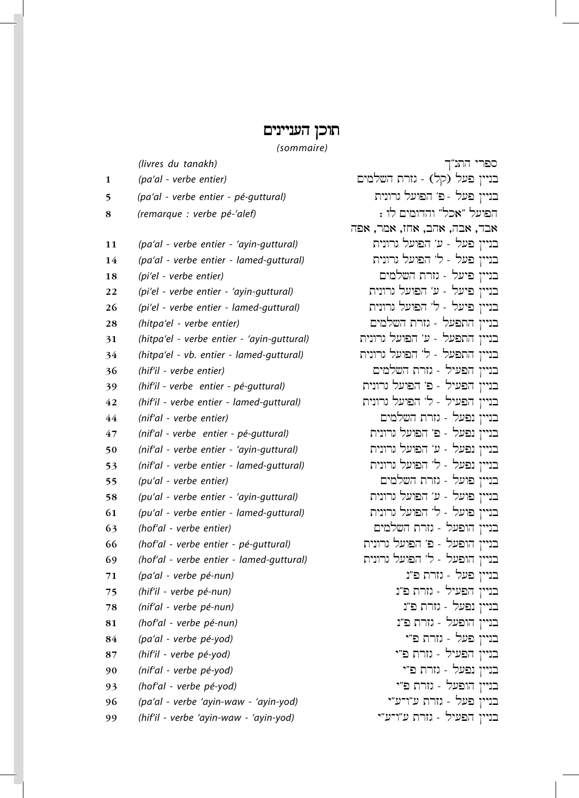## תוכן העניינים

*(sommaire)*

|    | (livres du tanakh)                         |   |
|----|--------------------------------------------|---|
| 1  | (pa'al - verbe entier)                     | E |
| 5  | (pa'al - verbe entier - pé-guttural)       |   |
| 8  | (remarque : verbe pé-'alef)                |   |
|    |                                            | 正 |
| 11 | (pa'al - verbe entier - 'ayin-guttural)    |   |
| 14 | (pa'al - verbe entier - lamed-guttural)    |   |
| 18 | (pi'el - verbe entier)                     |   |
| 22 | (pi'el - verbe entier - 'ayin-guttural)    |   |
| 26 | (pi'el - verbe entier - lamed-guttural)    |   |
| 28 | (hitpa'el - verbe entier)                  |   |
| 31 | (hitpa'el - verbe entier - 'ayin-guttural) |   |
| 34 | (hitpa'el - vb. entier - lamed-guttural)   |   |
| 36 | (hif'il - verbe entier)                    |   |
| 39 | (hif'il - verbe entier - pé-guttural)      |   |
| 42 | (hif'il - verbe entier - lamed-guttural)   |   |
| 44 | (nif'al - verbe entier)                    |   |
| 47 | (nif'al - verbe entier - pé-guttural)      |   |
| 50 | (nif'al - verbe entier - 'ayin-guttural)   |   |
| 53 | (nif'al - verbe entier - lamed-guttural)   |   |
| 55 | (pu'al - verbe entier)                     |   |
| 58 | (pu'al - verbe entier - 'ayin-guttural)    |   |
| 61 | (pu'al - verbe entier - lamed-guttural)    |   |
| 63 | (hof'al - verbe entier)                    |   |
| 66 | (hof'al - verbe entier - pé-guttural)      |   |
| 69 | (hof'al - verbe entier - lamed-guttural)   |   |
| 71 | (pa'al - verbe pé-nun)                     |   |
| 75 | (hif'il - verbe pé-nun)                    |   |
| 78 | (nif'al - verbe pé-nun)                    |   |
| 81 | (hof'al - verbe pé-nun)                    |   |
| 84 | (pa'al - verbe pé-yod)                     |   |
| 87 | (hif'il - verbe pé-yod)                    |   |
| 90 | (nif'al - verbe pé-yod)                    |   |
| 93 | (hof'al - verbe pé-yod)                    |   |
| 96 | (pa'al - verbe 'ayin-waw - 'ayin-yod)      |   |
| 99 | (hif'il - verbe 'ayin-waw - 'ayin-yod)     |   |

ספרי התנ"ך בניין פעל (קל) - גזרת השלמים בניין פעל - פ' הפועל גרונית 8 *(remarque : verbe pé-'alef)* : wl Mymwdhw "lka" lAwfh אבד, אבה, אהב, אחז, אמר, אפ בניין פעל - ע׳ הפועל גרונית 14 *(pa'al - verbe entier - lamed-guttural)* tynwrg lAwfh 'l - lAf Nyynv 18 *(pi'el - verbe entier)* Mymlch trzg - lAyf Nyynv 22 *(pi'el - verbe entier - 'ayin-guttural)* tynwrg lAwfh 'A - lAyf Nyynv 26 *(pi'el - verbe entier - lamed-guttural)* tynwrg lAwfh 'l - lAyf Nyynv בניין התפעל - גזרת השלמים בניין התפעל - ע׳ הפועל גרונית בניין התפעל - ל' הפועל גרונית 36 *(hif'il - verbe entier)* Mymlch trzg - lyAfh Nyynv בניין הפעיל - פ' הפועל גרונית 42 *(hif'il - verbe entier - lamed-guttural)* tynwrg lAwfh 'l - lyAfh Nyynv 44 *(nif'al - verbe entier)* Mymlch trzg - lAfn Nyynv בניין נפעל - פ׳ הפועל גרונית 50 *(nif'al - verbe entier - 'ayin-guttural)* tynwrg lAwfh 'A - lAfn Nyynv בניין נפעל - ל' הפועל גרונית 55 *(pu'al - verbe entier)* Mymlch trzg - lAwf Nyynv 58 *(pu'al - verbe entier - 'ayin-guttural)* tynwrg lAwfh 'A - lAwf Nyynv בניין פועל - ל' הפועל גרונית בניין הופעל - גזרת השלמים בניין הופעל - פ' הפועל גרונית בניין הופעל - ל' הפועל גרונית בניין פעל - גזרת פ"נ בניין הפעיל - גזרת פ"נ בניין נפעל - גזרת פ"נ 81 *(hof'al - verbe pé-nun)* n"f trzg - lAfwh Nyynv בניין פעל - גזרת פ"י 87 *(hif'il - verbe pé-yod)* y"f trzg - lyAfh Nyynv בניין נפעל - גזרת פ*"י* 93 *(hof'al - verbe pé-yod)* y"f trzg - lAfwh Nyynv 96 *(pa'al - verbe 'ayin-waw - 'ayin-yod)* y"A-w"A trzg - lAf Nyynv 99 *(hif'il - verbe 'ayin-waw - 'ayin-yod)* y"A-w"A trzg - lyAfh Nyynv